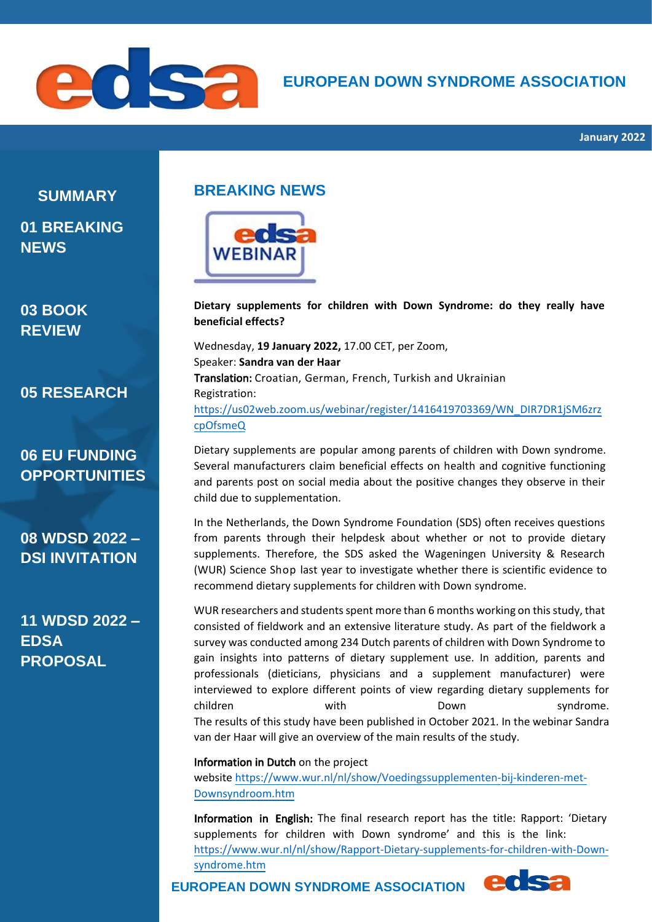

# **EUROPEAN DOWN SYNDROME ASSOCIATION**

**SUMMARY 01 BREAKING NEWS** 

# **03 BOOK REVIEW**

**05 RESEARCH**

# **06 EU FUNDING OPPORTUNITIES**

**08 WDSD 2022 – DSI INVITATION**

**11 WDSD 2022 – EDSA PROPOSAL**

# **BREAKING NEWS**



**Dietary supplements for children with Down Syndrome: do they really have beneficial effects?** 

Wednesday, **19 January 2022,** 17.00 CET, per Zoom, Speaker: **Sandra van der Haar** Translation: Croatian, German, French, Turkish and Ukrainian Registration: [https://us02web.zoom.us/webinar/register/1416419703369/WN\\_DIR7DR1jSM6zrz](https://us02web.zoom.us/webinar/register/1416419703369/WN_DIR7DR1jSM6zrzcpOfsmeQ) [cpOfsmeQ](https://us02web.zoom.us/webinar/register/1416419703369/WN_DIR7DR1jSM6zrzcpOfsmeQ)

Dietary supplements are popular among parents of children with Down syndrome. Several manufacturers claim beneficial effects on health and cognitive functioning and parents post on social media about the positive changes they observe in their child due to supplementation.

In the Netherlands, the Down Syndrome Foundation (SDS) often receives questions from parents through their helpdesk about whether or not to provide dietary supplements. Therefore, the SDS asked the Wageningen University & Research (WUR) Science Shop last year to investigate whether there is scientific evidence to recommend dietary supplements for children with Down syndrome.

WUR researchers and students spent more than 6 months working on this study, that consisted of fieldwork and an extensive literature study. As part of the fieldwork a survey was conducted among 234 Dutch parents of children with Down Syndrome to gain insights into patterns of dietary supplement use. In addition, parents and professionals (dieticians, physicians and a supplement manufacturer) were interviewed to explore different points of view regarding dietary supplements for children with Down syndrome. The results of this study have been published in October 2021. In the webinar Sandra van der Haar will give an overview of the main results of the study.

#### Information in Dutch on the project

website [https://www.wur.nl/nl/show/Voedingssupplementen-bij-kinderen-met-](https://www.wur.nl/nl/show/Voedingssupplementen-bij-kinderen-met-Downsyndroom.htm)[Downsyndroom.htm](https://www.wur.nl/nl/show/Voedingssupplementen-bij-kinderen-met-Downsyndroom.htm)

Information in English: The final research report has the title: Rapport: 'Dietary supplements for children with Down syndrome' and this is the link: https://www.wur.nl/nl/show/Rapport-Dietary-supplements-for-children-with-Downsyndrome.htm edsa

**EUROPEAN DOWN SYNDROME ASSOCIATION**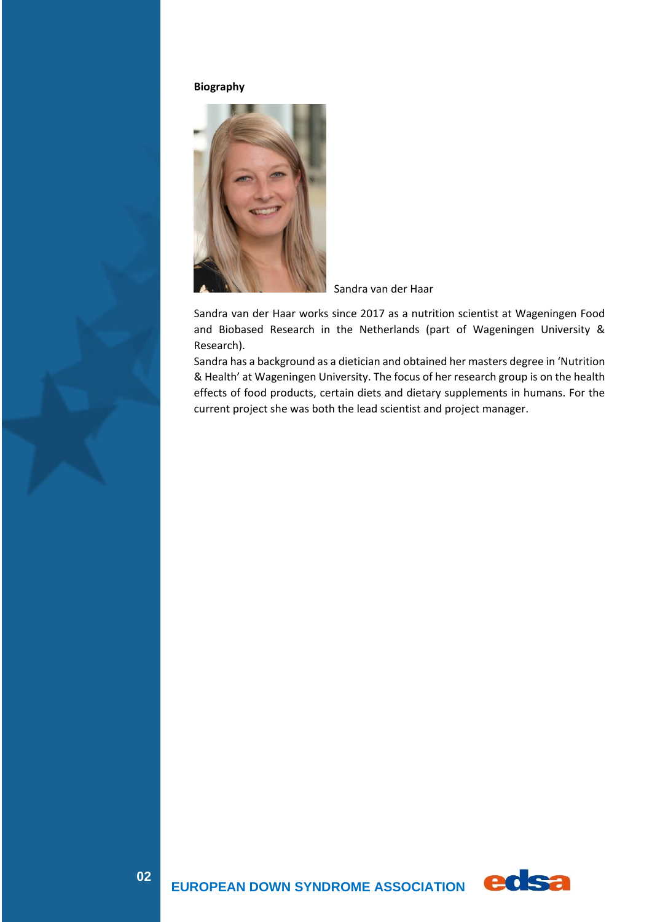#### **Biography**



Sandra van der Haar

Sandra van der Haar works since 2017 as a nutrition scientist at Wageningen Food and Biobased Research in the Netherlands (part of Wageningen University & Research).

Sandra has a background as a dietician and obtained her masters degree in 'Nutrition & Health' at Wageningen University. The focus of her research group is on the health effects of food products, certain diets and dietary supplements in humans. For the current project she was both the lead scientist and project manager.

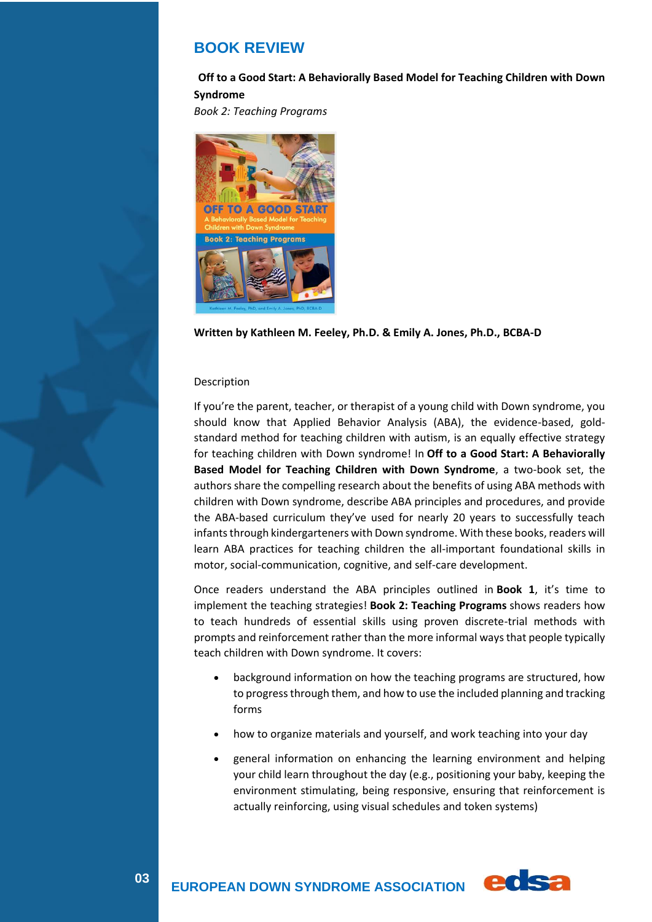### **BOOK REVIEW**

#### **Off to a Good Start: A Behaviorally Based Model for Teaching Children with Down Syndrome**

*Book 2: Teaching Programs*



```
Written by Kathleen M. Feeley, Ph.D. & Emily A. Jones, Ph.D., BCBA-D
```
#### Description

If you're the parent, teacher, or therapist of a young child with Down syndrome, you should know that Applied Behavior Analysis (ABA), the evidence-based, goldstandard method for teaching children with autism, is an equally effective strategy for teaching children with Down syndrome! In **Off to a Good Start: A Behaviorally Based Model for Teaching Children with Down Syndrome**, a two-book set, the authors share the compelling research about the benefits of using ABA methods with children with Down syndrome, describe ABA principles and procedures, and provide the ABA-based curriculum they've used for nearly 20 years to successfully teach infants through kindergarteners with Down syndrome. With these books, readers will learn ABA practices for teaching children the all-important foundational skills in motor, social-communication, cognitive, and self-care development.

Once readers understand the ABA principles outlined in **Book 1**, it's time to implement the teaching strategies! **Book 2: Teaching Programs** shows readers how to teach hundreds of essential skills using proven discrete-trial methods with prompts and reinforcement rather than the more informal ways that people typically teach children with Down syndrome. It covers:

- background information on how the teaching programs are structured, how to progress through them, and how to use the included planning and tracking forms
- how to organize materials and yourself, and work teaching into your day
- general information on enhancing the learning environment and helping your child learn throughout the day (e.g., positioning your baby, keeping the environment stimulating, being responsive, ensuring that reinforcement is actually reinforcing, using visual schedules and token systems)

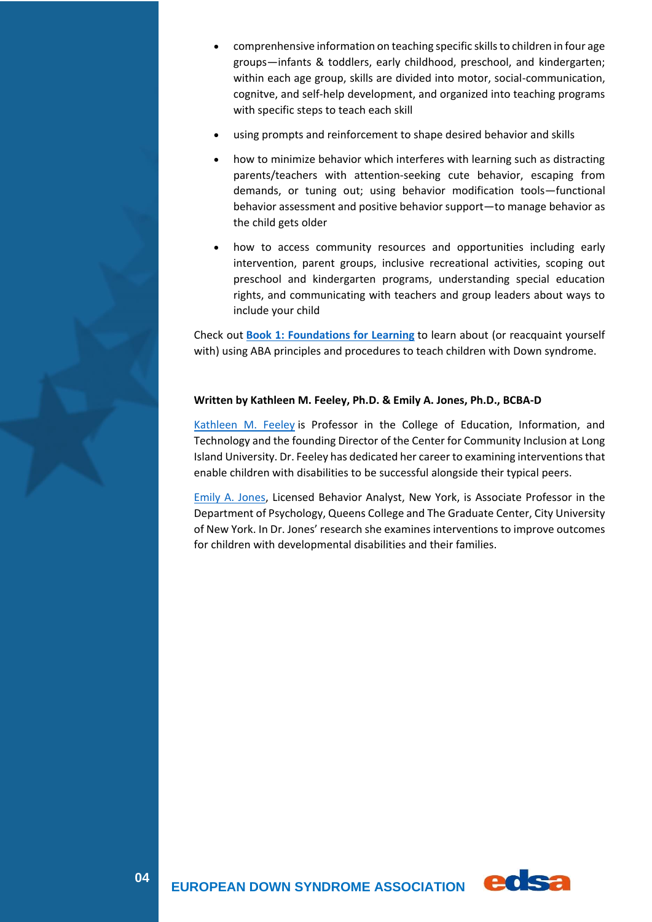- comprenhensive information on teaching specific skills to children in four age groups—infants & toddlers, early childhood, preschool, and kindergarten; within each age group, skills are divided into motor, social-communication, cognitve, and self-help development, and organized into teaching programs with specific steps to teach each skill
- using prompts and reinforcement to shape desired behavior and skills
- how to minimize behavior which interferes with learning such as distracting parents/teachers with attention-seeking cute behavior, escaping from demands, or tuning out; using behavior modification tools—functional behavior assessment and positive behavior support—to manage behavior as the child gets older
- how to access community resources and opportunities including early intervention, parent groups, inclusive recreational activities, scoping out preschool and kindergarten programs, understanding special education rights, and communicating with teachers and group leaders about ways to include your child

Check out **[Book 1: Foundations for Learning](https://www.woodbinehouse.com/product/off-to-a-good-start-book-1/)** to learn about (or reacquaint yourself with) using ABA principles and procedures to teach children with Down syndrome.

#### **Written by Kathleen M. Feeley, Ph.D. & Emily A. Jones, Ph.D., BCBA-D**

[Kathleen M. Feeley](http://www.liu.edu/CWPost/Academics/Faculty/Faculty/F/Kathleen-M-Feeley?rn=Faculty&ru=/CWPost/Academics/College-of-Education-Information-and-Technology/Faculty) is Professor in the College of Education, Information, and Technology and the founding Director of the Center for Community Inclusion at Long Island University. Dr. Feeley has dedicated her career to examining interventions that enable children with disabilities to be successful alongside their typical peers.

[Emily A. Jones,](http://psychology.qc.cuny.edu/full-time-faculty/emily-jones/) Licensed Behavior Analyst, New York, is Associate Professor in the Department of Psychology, Queens College and The Graduate Center, City University of New York. In Dr. Jones' research she examines interventions to improve outcomes for children with developmental disabilities and their families.

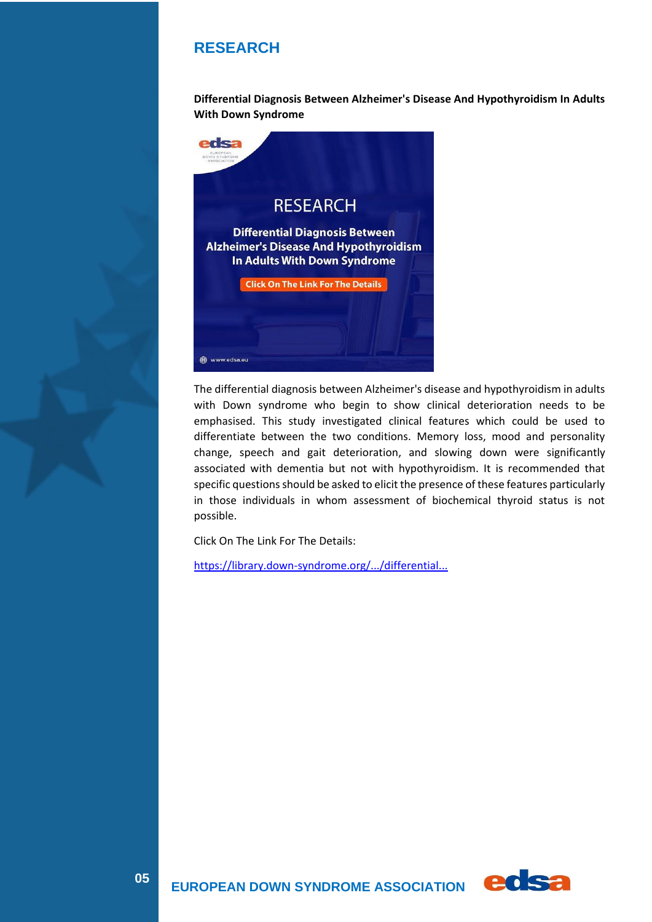# **RESEARCH**

**Differential Diagnosis Between Alzheimer's Disease And Hypothyroidism In Adults With Down Syndrome**



The differential diagnosis between Alzheimer's disease and hypothyroidism in adults with Down syndrome who begin to show clinical deterioration needs to be emphasised. This study investigated clinical features which could be used to differentiate between the two conditions. Memory loss, mood and personality change, speech and gait deterioration, and slowing down were significantly associated with dementia but not with hypothyroidism. It is recommended that specific questions should be asked to elicit the presence of these features particularly in those individuals in whom assessment of biochemical thyroid status is not possible.

Click On The Link For The Details:

<https://library.down-syndrome.org/.../differential...>

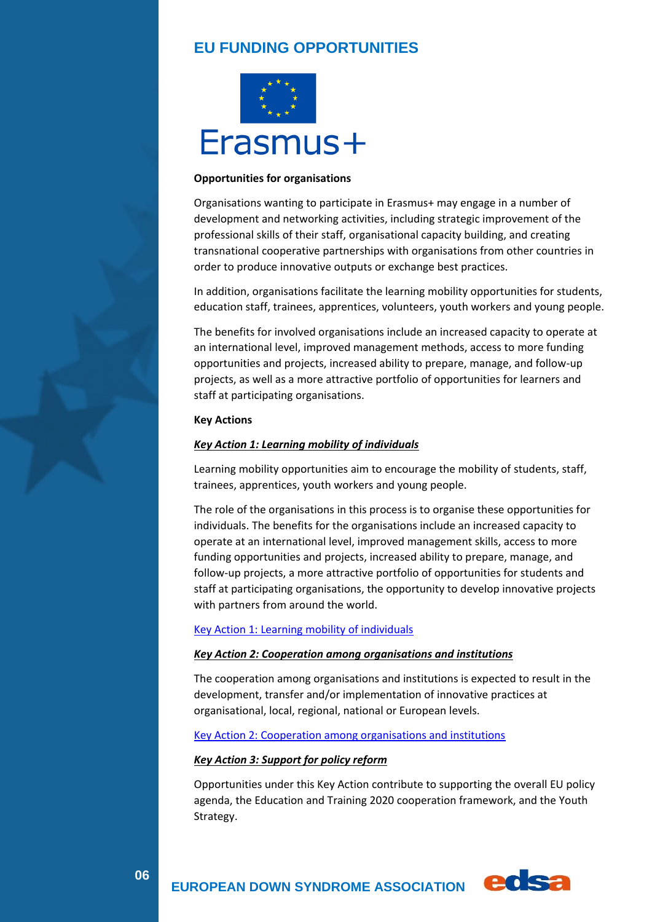# **EU FUNDING OPPORTUNITIES**



#### **Opportunities for organisations**

Organisations wanting to participate in Erasmus+ may engage in a number of development and networking activities, including strategic improvement of the professional skills of their staff, organisational capacity building, and creating transnational cooperative partnerships with organisations from other countries in order to produce innovative outputs or exchange best practices.

In addition, organisations facilitate the learning mobility opportunities for students, education staff, trainees, apprentices, volunteers, youth workers and young people.

The benefits for involved organisations include an increased capacity to operate at an international level, improved management methods, access to more funding opportunities and projects, increased ability to prepare, manage, and follow-up projects, as well as a more attractive portfolio of opportunities for learners and staff at participating organisations.

#### **Key Actions**

#### *Key Action 1: Learning mobility of individuals*

Learning mobility opportunities aim to encourage the mobility of students, staff, trainees, apprentices, youth workers and young people.

The role of the organisations in this process is to organise these opportunities for individuals. The benefits for the organisations include an increased capacity to operate at an international level, improved management skills, access to more funding opportunities and projects, increased ability to prepare, manage, and follow-up projects, a more attractive portfolio of opportunities for students and staff at participating organisations, the opportunity to develop innovative projects with partners from around the world.

#### [Key Action 1: Learning mobility of individuals](https://erasmus-plus.ec.europa.eu/learning-mobility-of-individuals)

#### *Key Action 2: Cooperation among organisations and institutions*

The cooperation among organisations and institutions is expected to result in the development, transfer and/or implementation of innovative practices at organisational, local, regional, national or European levels.

#### [Key Action 2: Cooperation among organisations and institutions](https://erasmus-plus.ec.europa.eu/cooperation-among-organisations-and-institutions)

#### *Key Action 3: Support for policy reform*

Opportunities under this Key Action contribute to supporting the overall EU policy agenda, the Education and Training 2020 cooperation framework, and the Youth Strategy.



**06**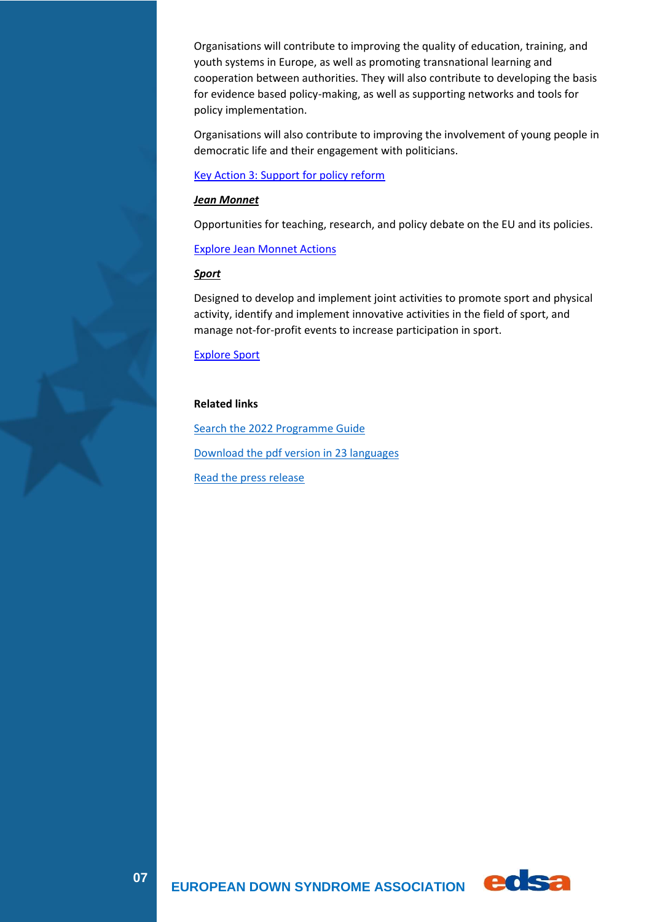Organisations will contribute to improving the quality of education, training, and youth systems in Europe, as well as promoting transnational learning and cooperation between authorities. They will also contribute to developing the basis for evidence based policy-making, as well as supporting networks and tools for policy implementation.

Organisations will also contribute to improving the involvement of young people in democratic life and their engagement with politicians.

[Key Action 3: Support for policy reform](https://erasmus-plus.ec.europa.eu/node/32/)

#### *Jean Monnet*

Opportunities for teaching, research, and policy debate on the EU and its policies.

[Explore Jean Monnet Actions](https://erasmus-plus.ec.europa.eu/jean-monnet-actions-stimulating-teaching-and-research-on-the-european-union)

#### *Sport*

Designed to develop and implement joint activities to promote sport and physical activity, identify and implement innovative activities in the field of sport, and manage not-for-profit events to increase participation in sport.

[Explore Sport](https://erasmus-plus.ec.europa.eu/opportunities/organisations/sport-actions)

#### **Related links**

[Search the 2022 Programme Guide](https://erasmus-plus.ec.europa.eu/programme-guide/introduction) [Download the pdf version in 23 languages](https://erasmus-plus.ec.europa.eu/document/erasmus-programme-guide-2022) [Read the press release](https://ec.europa.eu/commission/presscorner/detail/en/ip_21_6180)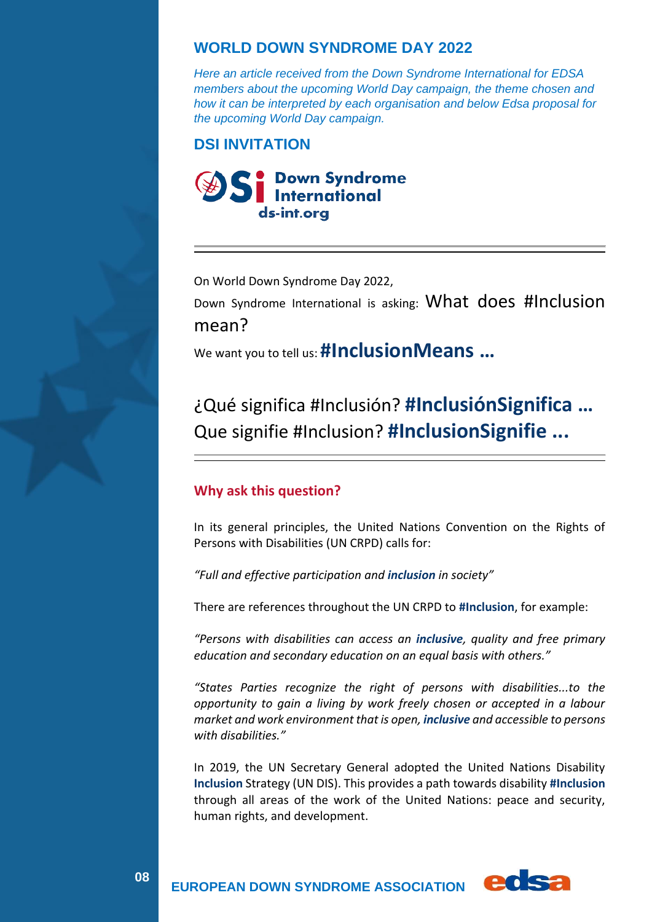### **WORLD DOWN SYNDROME DAY 2022**

*Here an article received from the Down Syndrome International for EDSA members about the upcoming World Day campaign, the theme chosen and how it can be interpreted by each organisation and below Edsa proposal for the upcoming World Day campaign.*

### **DSI INVITATION**



On World Down Syndrome Day 2022,

Down Syndrome International is asking: What does #Inclusion mean?

We want you to tell us: **#InclusionMeans …**

# ¿Qué significa #Inclusión? **#InclusiónSignifica …** Que signifie #Inclusion? **#InclusionSignifie ...**

### **Why ask this question?**

In its general principles, the United Nations Convention on the Rights of Persons with Disabilities (UN CRPD) calls for:

*"Full and effective participation and inclusion in society"*

There are references throughout the UN CRPD to **#Inclusion**, for example:

*"Persons with disabilities can access an inclusive, quality and free primary education and secondary education on an equal basis with others."*

*"States Parties recognize the right of persons with disabilities...to the opportunity to gain a living by work freely chosen or accepted in a labour market and work environment that is open, inclusive and accessible to persons with disabilities."*

In 2019, the UN Secretary General adopted the United Nations Disability **Inclusion** Strategy (UN DIS). This provides a path towards disability **#Inclusion** through all areas of the work of the United Nations: peace and security, human rights, and development.



**08**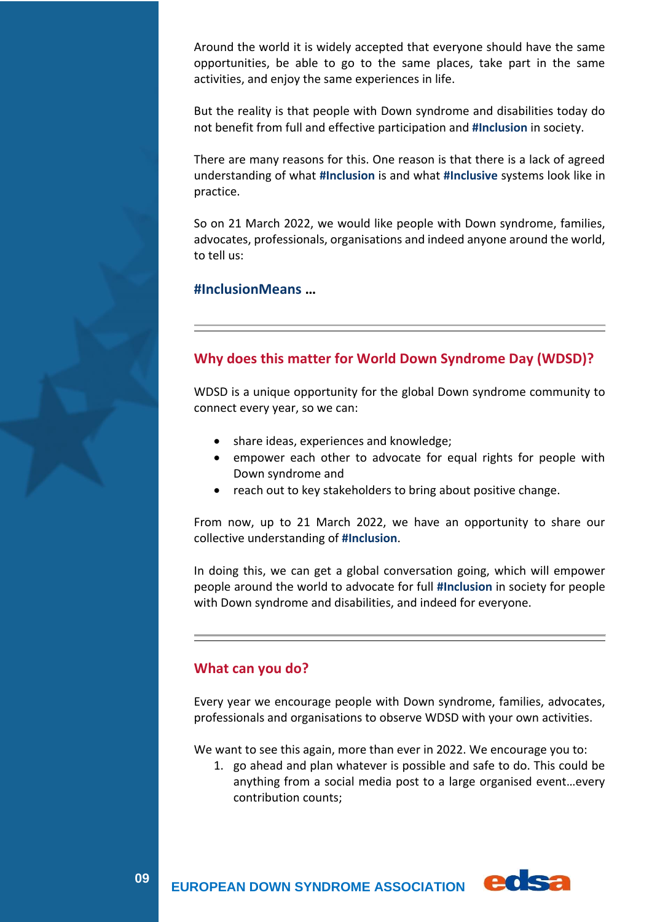Around the world it is widely accepted that everyone should have the same opportunities, be able to go to the same places, take part in the same activities, and enjoy the same experiences in life.

But the reality is that people with Down syndrome and disabilities today do not benefit from full and effective participation and **#Inclusion** in society.

There are many reasons for this. One reason is that there is a lack of agreed understanding of what **#Inclusion** is and what **#Inclusive** systems look like in practice.

So on 21 March 2022, we would like people with Down syndrome, families, advocates, professionals, organisations and indeed anyone around the world, to tell us:

### **#InclusionMeans …**

### **Why does this matter for World Down Syndrome Day (WDSD)?**

WDSD is a unique opportunity for the global Down syndrome community to connect every year, so we can:

- share ideas, experiences and knowledge;
- empower each other to advocate for equal rights for people with Down syndrome and
- reach out to key stakeholders to bring about positive change.

From now, up to 21 March 2022, we have an opportunity to share our collective understanding of **#Inclusion**.

In doing this, we can get a global conversation going, which will empower people around the world to advocate for full **#Inclusion** in society for people with Down syndrome and disabilities, and indeed for everyone.

### **What can you do?**

**09**

Every year we encourage people with Down syndrome, families, advocates, professionals and organisations to observe WDSD with your own activities.

We want to see this again, more than ever in 2022. We encourage you to:

1. go ahead and plan whatever is possible and safe to do. This could be anything from a social media post to a large organised event…every contribution counts;

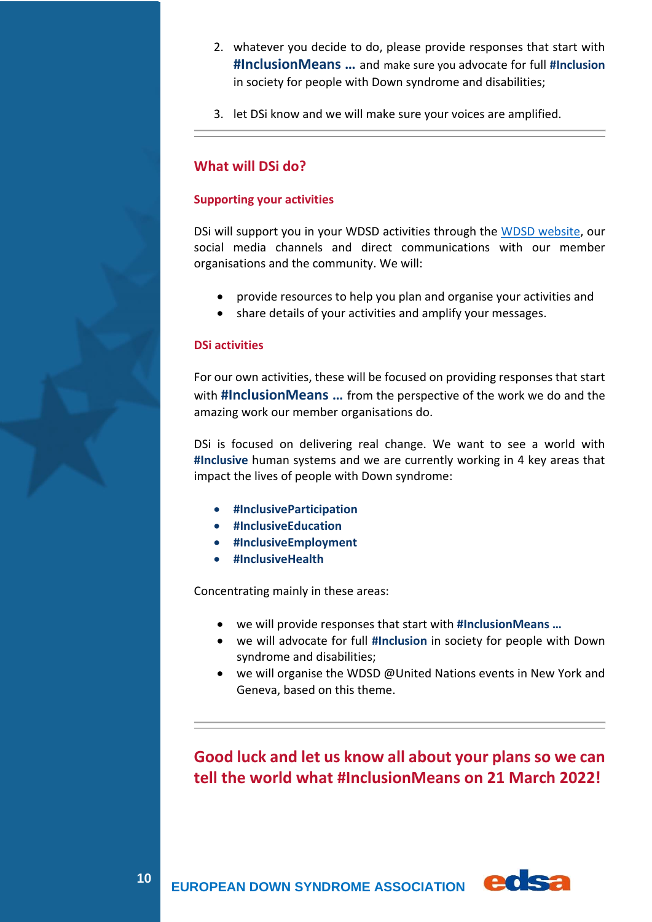- 2. whatever you decide to do, please provide responses that start with **#InclusionMeans …** and make sure you advocate for full **#Inclusion** in society for people with Down syndrome and disabilities;
- 3. let DSi know and we will make sure your voices are amplified.

### **What will DSi do?**

#### **Supporting your activities**

DSi will support you in your WDSD activities through the [WDSD website,](https://www.worlddownsyndromeday.org/) our social media channels and direct communications with our member organisations and the community. We will:

- provide resources to help you plan and organise your activities and
- share details of your activities and amplify your messages.

#### **DSi activities**

For our own activities, these will be focused on providing responses that start with **#InclusionMeans …** from the perspective of the work we do and the amazing work our member organisations do.

DSi is focused on delivering real change. We want to see a world with **#Inclusive** human systems and we are currently working in 4 key areas that impact the lives of people with Down syndrome:

- **#InclusiveParticipation**
- **#InclusiveEducation**
- **#InclusiveEmployment**
- **#InclusiveHealth**

Concentrating mainly in these areas:

- we will provide responses that start with **#InclusionMeans …**
- we will advocate for full **#Inclusion** in society for people with Down syndrome and disabilities;
- we will organise the WDSD @United Nations events in New York and Geneva, based on this theme.

**Good luck and let us know all about your plans so we can tell the world what #InclusionMeans on 21 March 2022!**

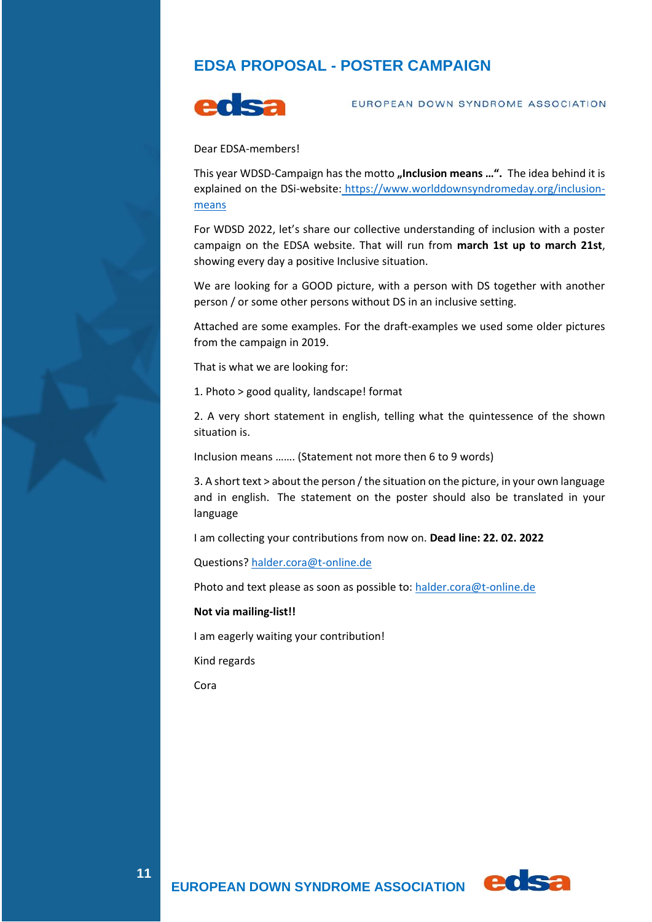## **EDSA PROPOSAL - POSTER CAMPAIGN**



EUROPEAN DOWN SYNDROME ASSOCIATION

Dear EDSA-members!

This year WDSD-Campaign has the motto "Inclusion means ...". The idea behind it is explained on the DSi-website: [https://www.worlddownsyndromeday.org/inclusion](https://www.worlddownsyndromeday.org/inclusion-means)[means](https://www.worlddownsyndromeday.org/inclusion-means)

For WDSD 2022, let's share our collective understanding of inclusion with a poster campaign on the EDSA website. That will run from **march 1st up to march 21st**, showing every day a positive Inclusive situation.

We are looking for a GOOD picture, with a person with DS together with another person / or some other persons without DS in an inclusive setting.

Attached are some examples. For the draft-examples we used some older pictures from the campaign in 2019.

That is what we are looking for:

1. Photo > good quality, landscape! format

2. A very short statement in english, telling what the quintessence of the shown situation is.

Inclusion means ……. (Statement not more then 6 to 9 words)

3. A short text > about the person / the situation on the picture, in your own language and in english. The statement on the poster should also be translated in your language

I am collecting your contributions from now on. **Dead line: 22. 02. 2022**

Questions? [halder.cora@t-online.de](mailto:halder.cora@t-online.de)

Photo and text please as soon as possible to: [halder.cora@t-online.de](mailto:halder.cora@t-online.de)

#### **Not via mailing-list!!**

I am eagerly waiting your contribution!

Kind regards

Cora

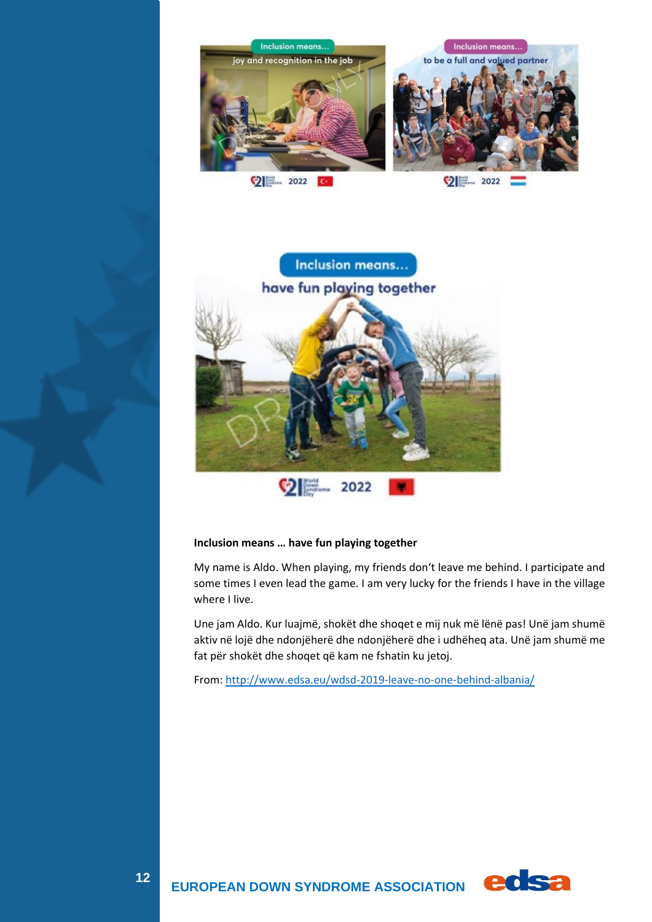



#### **Inclusion means … have fun playing together**

My name is Aldo. When playing, my friends don't leave me behind. I participate and some times I even lead the game. I am very lucky for the friends I have in the village where I live.

Une jam Aldo. Kur luajmë, shokët dhe shoqet e mij nuk më lënë pas! Unë jam shumë aktiv në lojë dhe ndonjëherë dhe ndonjëherë dhe i udhëheq ata. Unë jam shumë me fat për shokët dhe shoqet që kam ne fshatin ku jetoj.

From: <http://www.edsa.eu/wdsd-2019-leave-no-one-behind-albania/>